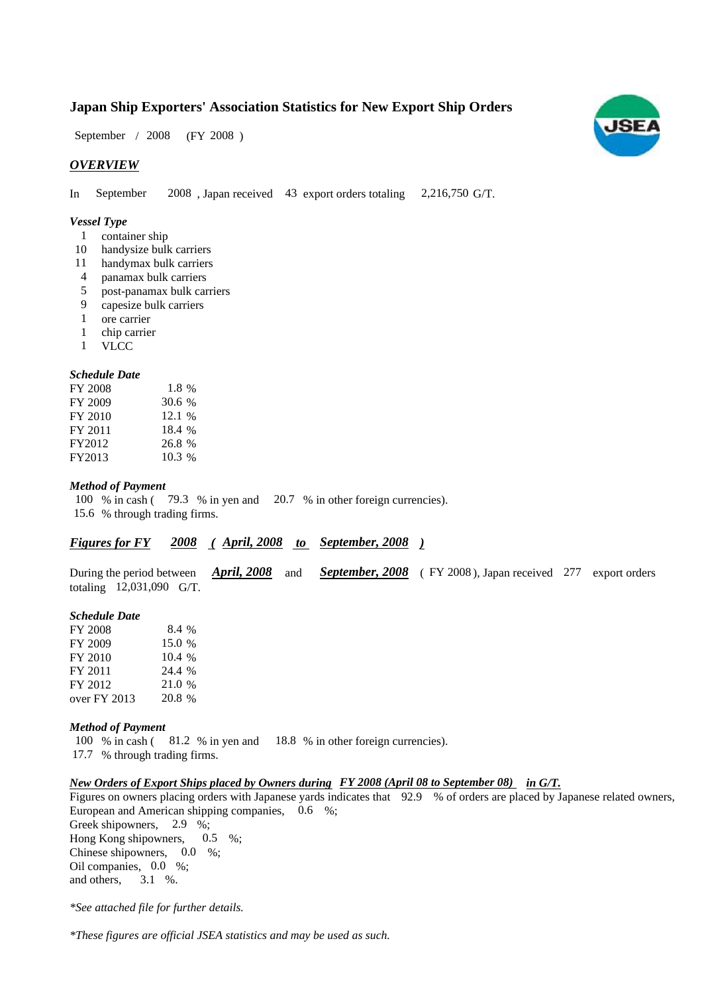# **Japan Ship Exporters' Association Statistics for New Export Ship Orders**

 $/ 2008$  (FY 2008) September / 2008

## *OVERVIEW*

In September 2008, Japan received 43 export orders totaling 2,216,750 G/T. September

#### *Vessel Type*

- 1 container ship
- 10 handysize bulk carriers
- 11 handymax bulk carriers
- panamax bulk carriers 4
- post-panamax bulk carriers 5
- capesize bulk carriers 9
- ore carrier 1
- 1 chip carrier
- VLCC 1

#### *Schedule Date*

| FY 2008 | 1.8 %  |
|---------|--------|
| FY 2009 | 30.6 % |
| FY 2010 | 12.1%  |
| FY 2011 | 18.4 % |
| FY2012  | 26.8 % |
| FY2013  | 10.3%  |

#### *Method of Payment*

100 % in cash (79.3 % in yen and 20.7 % in other foreign currencies). % through trading firms. 15.6

# *Figures for FY* 2008 (April, 2008 to September, 2008)

During the period between *April, 2008* and *September, 2008* (FY 2008), Japan received 277 export orders totaling  $12,031,090$  G/T.

#### *Schedule Date*

| FY 2008        | 8.4 %  |
|----------------|--------|
| FY 2009        | 15.0 % |
| FY 2010        | 10.4%  |
| FY 2011        | 24.4 % |
| FY 2012        | 21.0 % |
| over $FY$ 2013 | 20.8 % |

#### *Method of Payment*

100 % in cash ( $\,81.2\,$  % in yen and  $\,18.8\,$  % in other foreign currencies). % through trading firms. 17.7

#### *New Orders of Export Ships placed by Owners during FY 2008 (April 08 to September 08) in G/T.*

Figures on owners placing orders with Japanese yards indicates that 92.9 % of orders are placed by Japanese related owners, European and American shipping companies, 0.6 %; Greek shipowners,  $2.9\%$ ; Hong Kong shipowners,  $0.5 \%$ ; Chinese shipowners,  $0.0\%$ ; Oil companies, 0.0 %; and others, 3.1 %.

*\*See attached file for further details.*

*\*These figures are official JSEA statistics and may be used as such.*

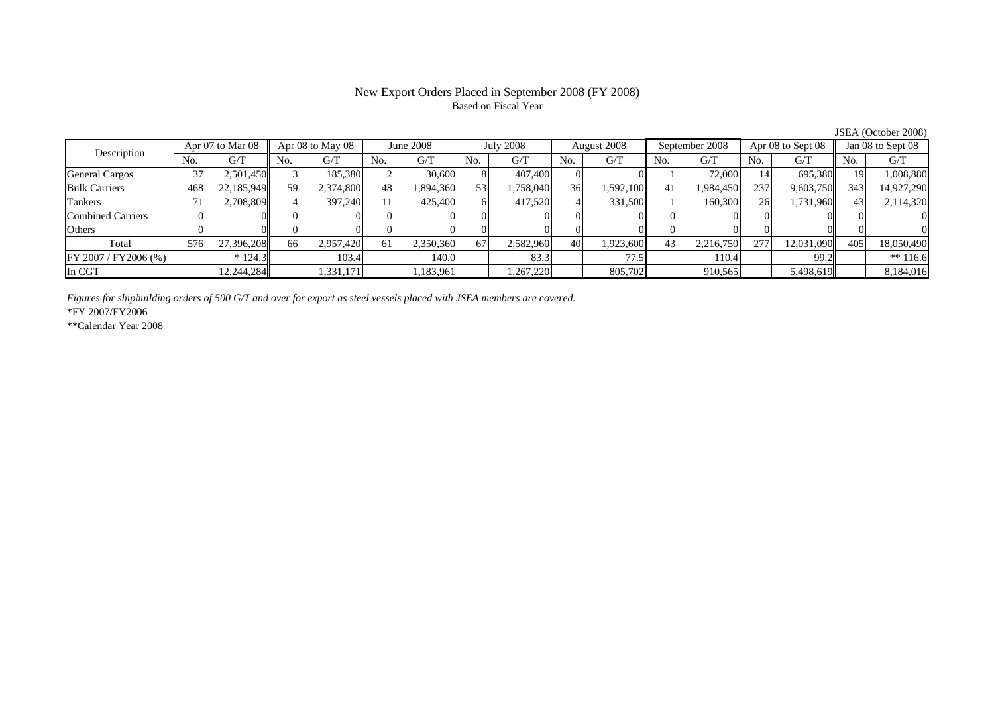# New Export Orders Placed in September 2008 (FY 2008) Based on Fiscal Year

JSEA (October 2008)

| Apr 07 to Mar 08<br>Description |     |            | Apr 08 to May 08 |           | June 2008 |           | <b>July 2008</b> |           | August 2008 |           | September 2008 |           | Apr 08 to Sept 08 |            | Jan 08 to Sept 08 |            |
|---------------------------------|-----|------------|------------------|-----------|-----------|-----------|------------------|-----------|-------------|-----------|----------------|-----------|-------------------|------------|-------------------|------------|
|                                 | No. | G/T        | No.              | G/T       | No.       | G/T       | No.              | G/T       | No.         | G/T       | No.            | G/T       | No.               | G/T        | N <sub>o</sub>    | G/T        |
| <b>General Cargos</b>           | 37  | 2,501,450  |                  | 185,380   |           | 30,600    |                  | 407,400   |             |           |                | 72,000    |                   | 695.380    |                   | 1,008,880  |
| <b>Bulk Carriers</b>            | 468 | 22,185,949 | 59               | 2,374,800 | 48        | .894,360  | 53               | 1,758,040 | 36          | 1,592,100 | 41             | 1,984,450 | 2371              | 9,603,750  | 343               | 14,927,290 |
| Tankers                         |     | 2,708,809  |                  | 397.240   |           | 425,400   |                  | 417,520   |             | 331,500   |                | 160,300   | 26                | 1,731,960  |                   | 2,114,320  |
| Combined Carriers               |     |            |                  |           |           |           |                  |           |             |           |                |           |                   |            |                   |            |
| <b>Others</b>                   |     |            |                  |           |           |           |                  |           |             |           |                |           |                   |            |                   |            |
| Total                           | 576 | 27.396.208 | 66               | 2,957,420 | 61        | 2,350,360 | 67               | 2,582,960 | 40          | 1,923,600 | 43             | 2,216,750 | 277               | 12,031,090 | 405               | 18,050,490 |
| FY 2007/FY2006 (%)              |     | $*124.3$   |                  | 103.4     |           | 140.0     |                  | 83.3      |             | 77.5      |                | 110.4     |                   | 99.2       |                   | $** 116.6$ |
| In CGT                          |     | 12,244,284 |                  | 1,331,171 |           | ,183,961  |                  | .267,220  |             | 805,702   |                | 910,565   |                   | 5,498,619  |                   | 8,184,016  |

*Figures for shipbuilding orders of 500 G/T and over for export as steel vessels placed with JSEA members are covered.*

\*FY 2007/FY2006

\*\*Calendar Year 2008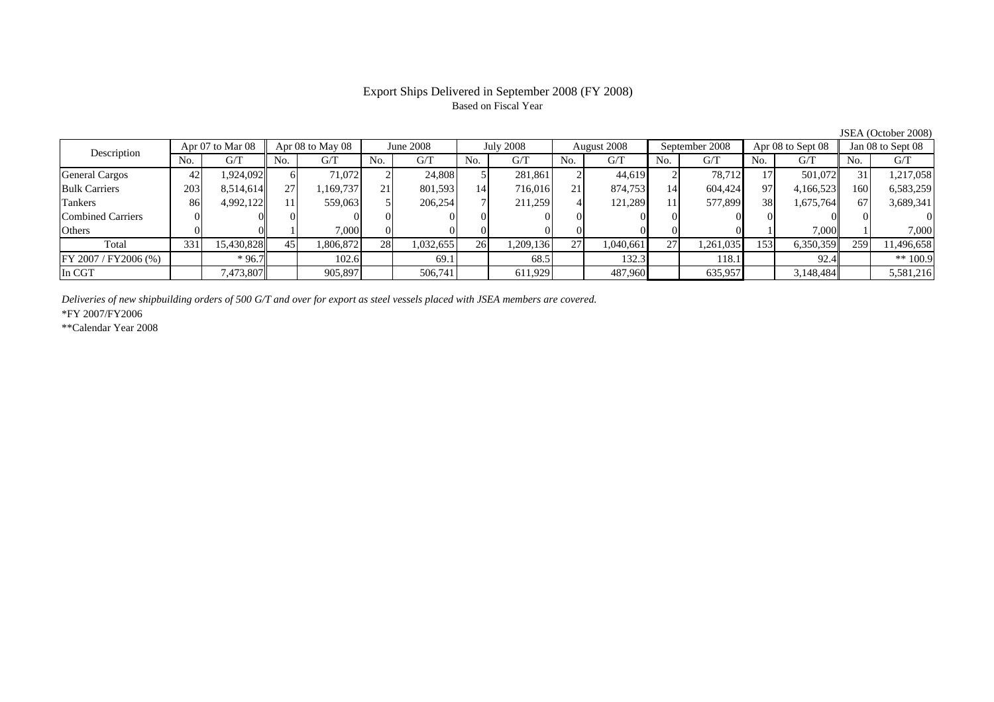### Export Ships Delivered in September 2008 (FY 2008) Based on Fiscal Year

No. I G/T II No. I G/T II No. I G/T II No. I G/T G/T II No. I G/T II No. I G/T II No. I G/T II No. I G/T II No  $G/T$ General Cargos ( 42 1,924,092 6 71,072 2 24,808 5 281,861 2 44,619 2 78,712 17 501,072 31 1,217,058 Bulk Carriers 203 8,514,614 27 1,169,737 21 801,593 14 716,016 21 874,753 14 604,424 97 4,166,523 160 6,583,259 Tankers | 86 4,992,122 11 559,063 5 206,254 7 211,259 4 121,289 11 577,899 38 1,675,764 67 3,689,341 Combined Carriers 0 0 0 0 0 0 0 0 0 0 0 0 0 0 0 0Others 0 0 1 7,000 0 0 0 0 0 0 0 0 1 7,000 1 7,000 Total 331 15,430,828 45 1,806,872 28 1,032,655 26 1,209,136 27 1,040,661 27 1,261,035 153 6,350,359 259 11,496,658 FY 2007 / FY2006 (%) \* 96.7 102.6 69.1 68.5 132.3 118.1 92.4 \*\* 100.9 In CGT | | 7,473,807 || | 905,897 | | 506,741 | | 611,929 | | 487,960 | | 635,957 | | 3,148,484 | | 5,581,216 Apr 08 to May 08 June 2008 July 2008 Description Apr 07 to Mar 08 Apr 08 to May 08 June 2008 July 2008 August 2008 September 2008 Apr 08 to Sept 08 Jan 08 to Sept 08

*Deliveries of new shipbuilding orders of 500 G/T and over for export as steel vessels placed with JSEA members are covered.*

\*FY 2007/FY2006

\*\*Calendar Year 2008

JSEA (October 2008)